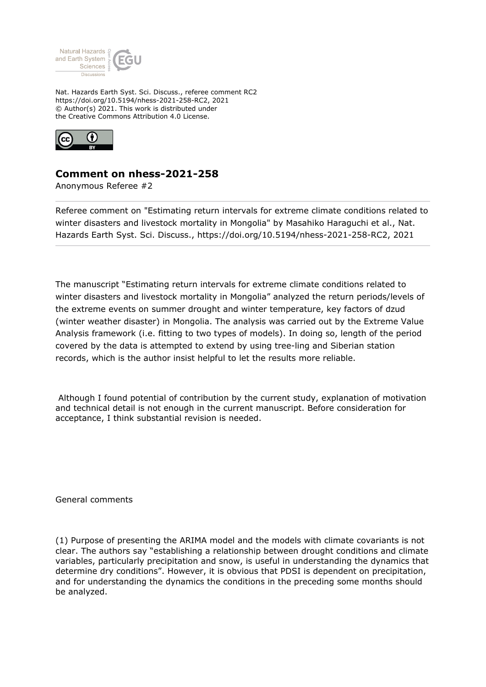

Nat. Hazards Earth Syst. Sci. Discuss., referee comment RC2 https://doi.org/10.5194/nhess-2021-258-RC2, 2021 © Author(s) 2021. This work is distributed under the Creative Commons Attribution 4.0 License.



## **Comment on nhess-2021-258**

Anonymous Referee #2

Referee comment on "Estimating return intervals for extreme climate conditions related to winter disasters and livestock mortality in Mongolia" by Masahiko Haraguchi et al., Nat. Hazards Earth Syst. Sci. Discuss., https://doi.org/10.5194/nhess-2021-258-RC2, 2021

The manuscript "Estimating return intervals for extreme climate conditions related to winter disasters and livestock mortality in Mongolia" analyzed the return periods/levels of the extreme events on summer drought and winter temperature, key factors of dzud (winter weather disaster) in Mongolia. The analysis was carried out by the Extreme Value Analysis framework (i.e. fitting to two types of models). In doing so, length of the period covered by the data is attempted to extend by using tree-ling and Siberian station records, which is the author insist helpful to let the results more reliable.

 Although I found potential of contribution by the current study, explanation of motivation and technical detail is not enough in the current manuscript. Before consideration for acceptance, I think substantial revision is needed.

General comments

(1) Purpose of presenting the ARIMA model and the models with climate covariants is not clear. The authors say "establishing a relationship between drought conditions and climate variables, particularly precipitation and snow, is useful in understanding the dynamics that determine dry conditions". However, it is obvious that PDSI is dependent on precipitation, and for understanding the dynamics the conditions in the preceding some months should be analyzed.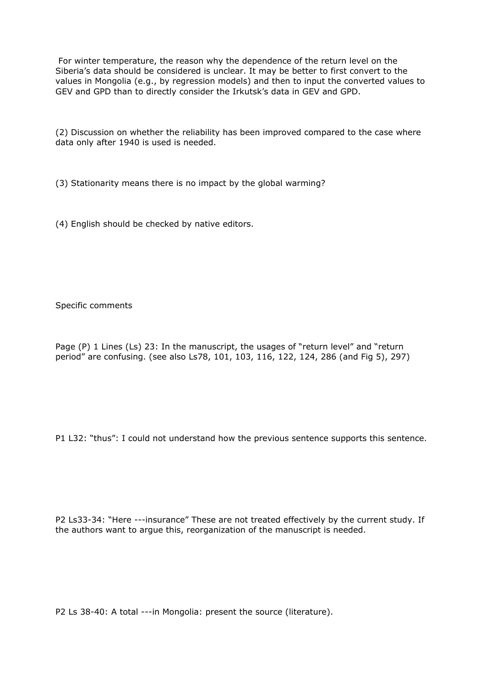For winter temperature, the reason why the dependence of the return level on the Siberia's data should be considered is unclear. It may be better to first convert to the values in Mongolia (e.g., by regression models) and then to input the converted values to GEV and GPD than to directly consider the Irkutsk's data in GEV and GPD.

(2) Discussion on whether the reliability has been improved compared to the case where data only after 1940 is used is needed.

(3) Stationarity means there is no impact by the global warming?

(4) English should be checked by native editors.

Specific comments

Page (P) 1 Lines (Ls) 23: In the manuscript, the usages of "return level" and "return period" are confusing. (see also Ls78, 101, 103, 116, 122, 124, 286 (and Fig 5), 297)

P1 L32: "thus": I could not understand how the previous sentence supports this sentence.

P2 Ls33-34: "Here ---insurance" These are not treated effectively by the current study. If the authors want to argue this, reorganization of the manuscript is needed.

P2 Ls 38-40: A total ---in Mongolia: present the source (literature).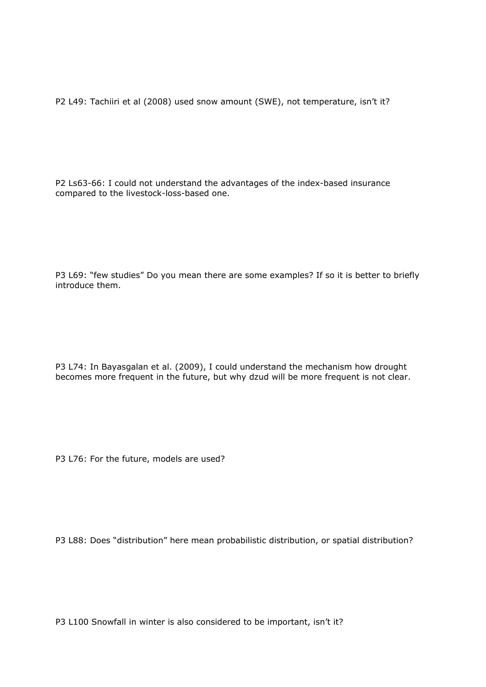P2 L49: Tachiiri et al (2008) used snow amount (SWE), not temperature, isn't it?

P2 Ls63-66: I could not understand the advantages of the index-based insurance compared to the livestock-loss-based one.

P3 L69: "few studies" Do you mean there are some examples? If so it is better to briefly introduce them.

P3 L74: In Bayasgalan et al. (2009), I could understand the mechanism how drought becomes more frequent in the future, but why dzud will be more frequent is not clear.

P3 L76: For the future, models are used?

P3 L88: Does "distribution" here mean probabilistic distribution, or spatial distribution?

P3 L100 Snowfall in winter is also considered to be important, isn't it?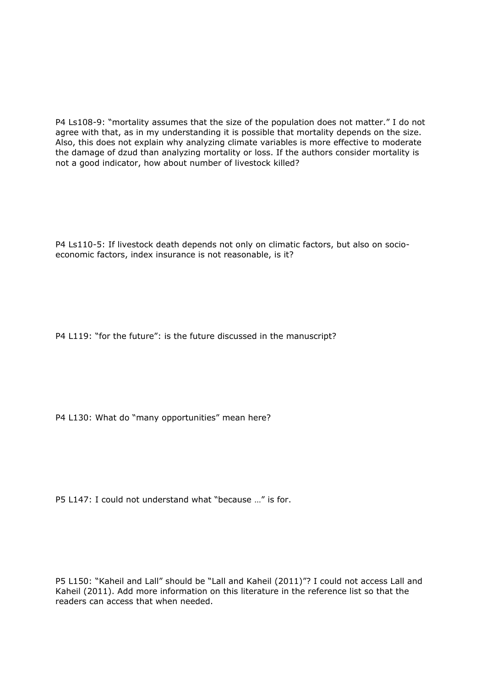P4 Ls108-9: "mortality assumes that the size of the population does not matter." I do not agree with that, as in my understanding it is possible that mortality depends on the size. Also, this does not explain why analyzing climate variables is more effective to moderate the damage of dzud than analyzing mortality or loss. If the authors consider mortality is not a good indicator, how about number of livestock killed?

P4 Ls110-5: If livestock death depends not only on climatic factors, but also on socioeconomic factors, index insurance is not reasonable, is it?

P4 L119: "for the future": is the future discussed in the manuscript?

P4 L130: What do "many opportunities" mean here?

P5 L147: I could not understand what "because …" is for.

P5 L150: "Kaheil and Lall" should be "Lall and Kaheil (2011)"? I could not access Lall and Kaheil (2011). Add more information on this literature in the reference list so that the readers can access that when needed.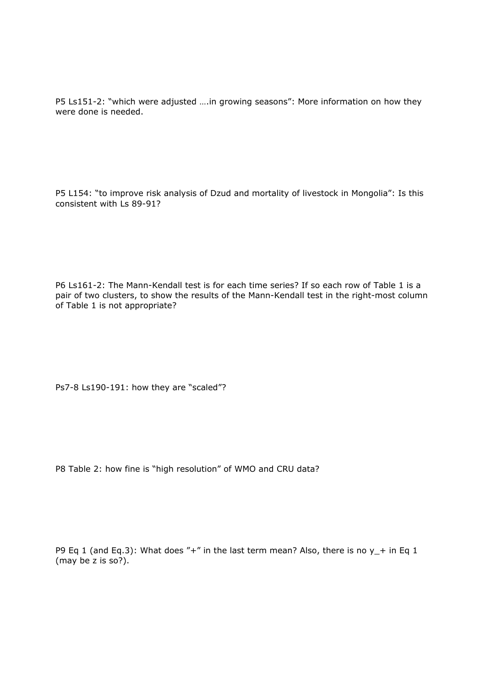P5 Ls151-2: "which were adjusted ….in growing seasons": More information on how they were done is needed.

P5 L154: "to improve risk analysis of Dzud and mortality of livestock in Mongolia": Is this consistent with Ls 89-91?

P6 Ls161-2: The Mann-Kendall test is for each time series? If so each row of Table 1 is a pair of two clusters, to show the results of the Mann-Kendall test in the right-most column of Table 1 is not appropriate?

Ps7-8 Ls190-191: how they are "scaled"?

P8 Table 2: how fine is "high resolution" of WMO and CRU data?

P9 Eq 1 (and Eq.3): What does "+" in the last term mean? Also, there is no  $y$  + in Eq 1 (may be z is so?).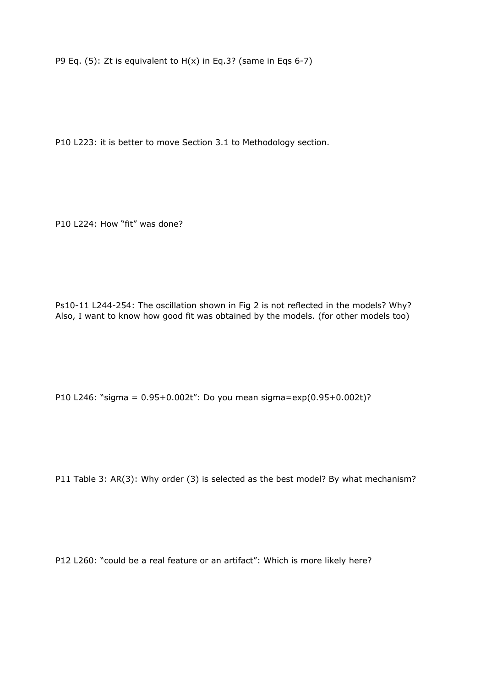P9 Eq.  $(5)$ : Zt is equivalent to  $H(x)$  in Eq.3? (same in Eqs 6-7)

P10 L223: it is better to move Section 3.1 to Methodology section.

P10 L224: How "fit" was done?

Ps10-11 L244-254: The oscillation shown in Fig 2 is not reflected in the models? Why? Also, I want to know how good fit was obtained by the models. (for other models too)

P10 L246: "sigma = 0.95+0.002t": Do you mean sigma=exp(0.95+0.002t)?

P11 Table 3: AR(3): Why order (3) is selected as the best model? By what mechanism?

P12 L260: "could be a real feature or an artifact": Which is more likely here?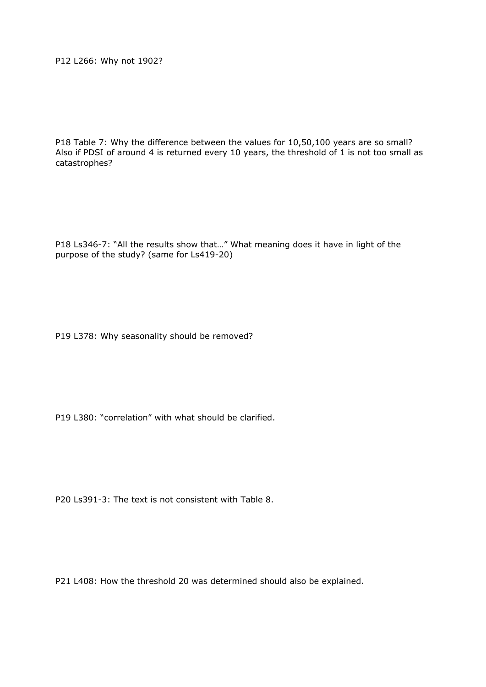P12 L266: Why not 1902?

P18 Table 7: Why the difference between the values for 10,50,100 years are so small? Also if PDSI of around 4 is returned every 10 years, the threshold of 1 is not too small as catastrophes?

P18 Ls346-7: "All the results show that…" What meaning does it have in light of the purpose of the study? (same for Ls419-20)

P19 L378: Why seasonality should be removed?

P19 L380: "correlation" with what should be clarified.

P20 Ls391-3: The text is not consistent with Table 8.

P21 L408: How the threshold 20 was determined should also be explained.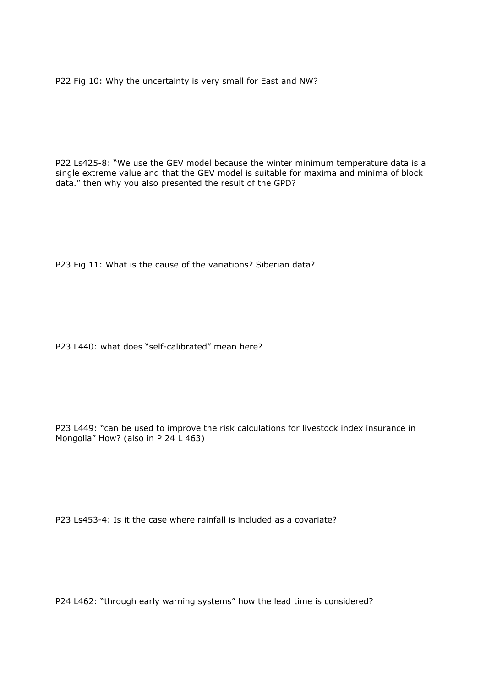P22 Fig 10: Why the uncertainty is very small for East and NW?

P22 Ls425-8: "We use the GEV model because the winter minimum temperature data is a single extreme value and that the GEV model is suitable for maxima and minima of block data." then why you also presented the result of the GPD?

P23 Fig 11: What is the cause of the variations? Siberian data?

P23 L440: what does "self-calibrated" mean here?

P23 L449: "can be used to improve the risk calculations for livestock index insurance in Mongolia" How? (also in P 24 L 463)

P23 Ls453-4: Is it the case where rainfall is included as a covariate?

P24 L462: "through early warning systems" how the lead time is considered?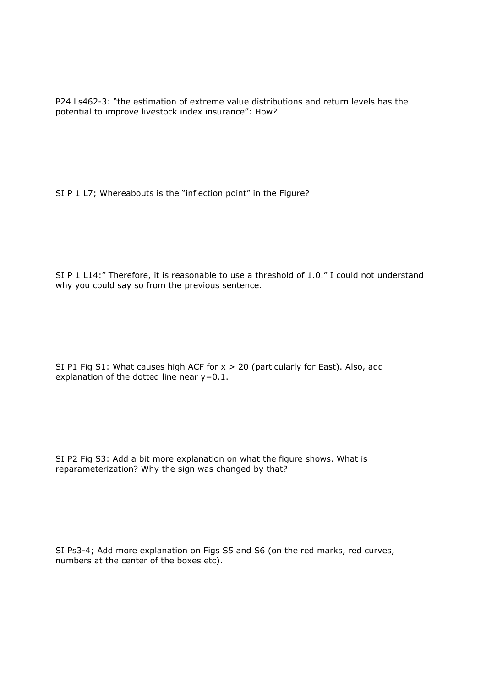P24 Ls462-3: "the estimation of extreme value distributions and return levels has the potential to improve livestock index insurance": How?

SI P 1 L7; Whereabouts is the "inflection point" in the Figure?

SI P 1 L14:" Therefore, it is reasonable to use a threshold of 1.0." I could not understand why you could say so from the previous sentence.

SI P1 Fig S1: What causes high ACF for  $x > 20$  (particularly for East). Also, add explanation of the dotted line near y=0.1.

SI P2 Fig S3: Add a bit more explanation on what the figure shows. What is reparameterization? Why the sign was changed by that?

SI Ps3-4; Add more explanation on Figs S5 and S6 (on the red marks, red curves, numbers at the center of the boxes etc).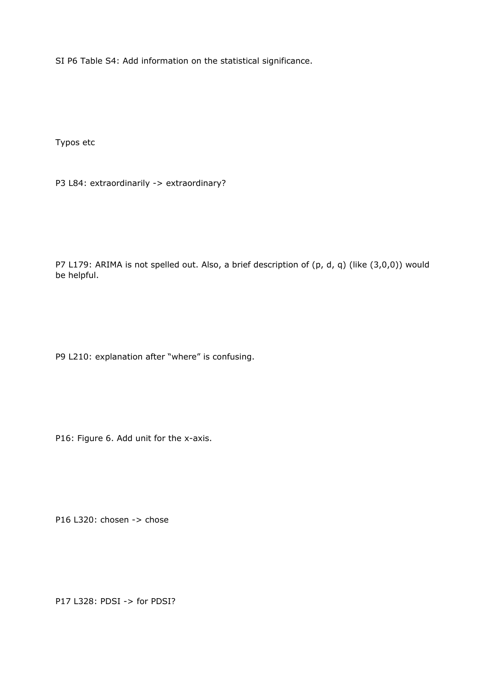SI P6 Table S4: Add information on the statistical significance.

Typos etc

P3 L84: extraordinarily -> extraordinary?

P7 L179: ARIMA is not spelled out. Also, a brief description of (p, d, q) (like (3,0,0)) would be helpful.

P9 L210: explanation after "where" is confusing.

P16: Figure 6. Add unit for the x-axis.

P16 L320: chosen -> chose

P17 L328: PDSI -> for PDSI?